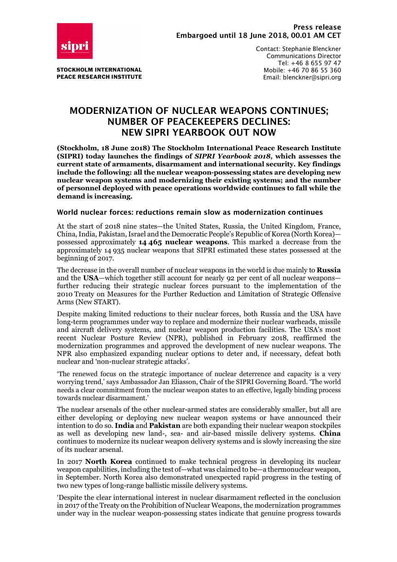

**STOCKHOLM INTERNATIONAL PEACE RESEARCH INSTITUTE**  Contact: Stephanie Blenckner Communications Director Tel: +46 8 655 97 47 Mobile: +46 70 86 55 360 Email: blenckner@sipri.org

# **MODERNIZATION OF NUCLEAR WEAPONS CONTINUES; NUMBER OF PEACEKEEPERS DECLINES: NEW SIPRI YEARBOOK OUT NOW**

**(Stockholm, 18 June 2018) The Stockholm International Peace Research Institute (SIPRI) today launches the findings of** *SIPRI Yearbook 2018***, which assesses the current state of armaments, disarmament and international security. Key findings include the following: all the nuclear weapon-possessing states are developing new nuclear weapon systems and modernizing their existing systems; and the number of personnel deployed with peace operations worldwide continues to fall while the demand is increasing.**

### **World nuclear forces: reductions remain slow as modernization continues**

At the start of 2018 nine states—the United States, Russia, the United Kingdom, France, China, India, Pakistan, Israel and the Democratic People's Republic of Korea (North Korea) possessed approximately **14 465 nuclear weapons**. This marked a decrease from the approximately 14 935 nuclear weapons that SIPRI estimated these states possessed at the beginning of 2017.

The decrease in the overall number of nuclear weapons in the world is due mainly to **Russia** and the **USA**—which together still account for nearly 92 per cent of all nuclear weapons further reducing their strategic nuclear forces pursuant to the implementation of the 2010 Treaty on Measures for the Further Reduction and Limitation of Strategic Offensive Arms (New START).

Despite making limited reductions to their nuclear forces, both Russia and the USA have long-term programmes under way to replace and modernize their nuclear warheads, missile and aircraft delivery systems, and nuclear weapon production facilities. The USA's most recent Nuclear Posture Review (NPR), published in February 2018, reaffirmed the modernization programmes and approved the development of new nuclear weapons. The NPR also emphasized expanding nuclear options to deter and, if necessary, defeat both nuclear and 'non-nuclear strategic attacks'.

'The renewed focus on the strategic importance of nuclear deterrence and capacity is a very worrying trend,' says Ambassador Jan Eliasson, Chair of the SIPRI Governing Board. 'The world needs a clear commitment from the nuclear weapon states to an effective, legally binding process towards nuclear disarmament.'

The nuclear arsenals of the other nuclear-armed states are considerably smaller, but all are either developing or deploying new nuclear weapon systems or have announced their intention to do so. **India** and **Pakistan** are both expanding their nuclear weapon stockpiles as well as developing new land-, sea- and air-based missile delivery systems. **China** continues to modernize its nuclear weapon delivery systems and is slowly increasing the size of its nuclear arsenal.

In 2017 **North Korea** continued to make technical progress in developing its nuclear weapon capabilities, including the test of—what was claimed to be—a thermonuclear weapon, in September. North Korea also demonstrated unexpected rapid progress in the testing of two new types of long-range ballistic missile delivery systems.

'Despite the clear international interest in nuclear disarmament reflected in the conclusion in 2017 of the Treaty on the Prohibition of Nuclear Weapons, the modernization programmes under way in the nuclear weapon-possessing states indicate that genuine progress towards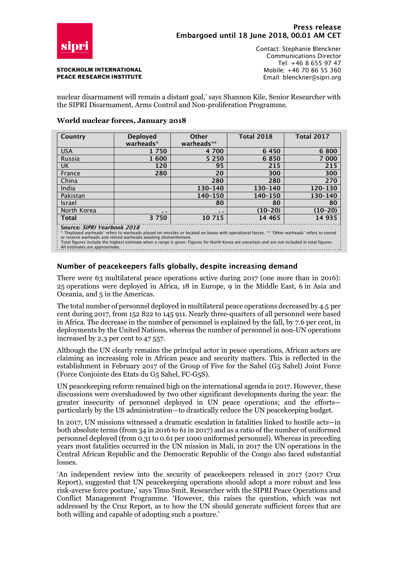

#### **STOCKHOLM INTERNATIONAL PEACE RESEARCH INSTITUTE**

Contact: Stephanie Blenckner Communications Director Tel: +46 8 655 97 47 Mobile: +46 70 86 55 360 Email: blenckner@sipri.org

nuclear disarmament will remain a distant goal,' says Shannon Kile, Senior Researcher with the SIPRI Disarmament, Arms Control and Non-proliferation Programme.

#### **World nuclear forces, January 2018**

| Country                                                                                                                                                                      | <b>Deployed</b> | Other          | <b>Total 2018</b> | <b>Total 2017</b> |
|------------------------------------------------------------------------------------------------------------------------------------------------------------------------------|-----------------|----------------|-------------------|-------------------|
|                                                                                                                                                                              | warheads*       | warheads**     |                   |                   |
| <b>USA</b>                                                                                                                                                                   | 1 750           | 4 700          | 6 4 5 0           | 6 800             |
| Russia                                                                                                                                                                       | 1600            | 5 2 5 0        | 6850              | 7 000             |
| <b>UK</b>                                                                                                                                                                    | 120             | 95             | 215               | 215               |
| France                                                                                                                                                                       | 280             | 20             | 300               | 300               |
| China                                                                                                                                                                        |                 | 280            | 280               | 270               |
| India                                                                                                                                                                        |                 | 130-140        | 130-140           | 120-130           |
| Pakistan                                                                                                                                                                     |                 | 140-150        | 140-150           | 130-140           |
| Israel                                                                                                                                                                       |                 | 80             | 80                | 80                |
| North Korea                                                                                                                                                                  | $\mathbf{r}$    | $\blacksquare$ | $(10-20)$         | $(10-20)$         |
| <b>Total</b>                                                                                                                                                                 | 3 7 5 0         | 10 715         | 14 465            | 14 935            |
| Source: SIPRI Yearbook 2018<br>* 'Deployed warheads' refers to warheads placed on missiles or located on bases with operational forces. ** 'Other warheads' refers to stored |                 |                |                   |                   |

or reserve warheads and retired warheads awaiting dismantlement.<br>Total figures include the highest estimate when a range is given. Figures for North Korea are uncertain and are not included in total figures. All estimates are approximate.

## **Number of peacekeepers falls globally, despite increasing demand**

There were 63 multilateral peace operations active during 2017 (one more than in 2016): 25 operations were deployed in Africa, 18 in Europe, 9 in the Middle East, 6 in Asia and Oceania, and 5 in the Americas.

The total number of personnel deployed in multilateral peace operations decreased by 4.5 per cent during 2017, from 152 822 to 145 911. Nearly three-quarters of all personnel were based in Africa. The decrease in the number of personnel is explained by the fall, by 7.6 per cent, in deployments by the United Nations, whereas the number of personnel in non-UN operations increased by 2.3 per cent to 47 557.

Although the UN clearly remains the principal actor in peace operations, African actors are claiming an increasing role in African peace and security matters. This is reflected in the establishment in February 2017 of the Group of Five for the Sahel (G5 Sahel) Joint Force (Force Conjointe des Etats du G5 Sahel, FC-G5S).

UN peacekeeping reform remained high on the international agenda in 2017. However, these discussions were overshadowed by two other significant developments during the year: the greater insecurity of personnel deployed in UN peace operations; and the efforts particularly by the US administration—to drastically reduce the UN peacekeeping budget.

In 2017, UN missions witnessed a dramatic escalation in fatalities linked to hostile acts—in both absolute terms (from 34 in 2016 to 61 in 2017) and as a ratio of the number of uniformed personnel deployed (from 0.31 to 0.61 per 1000 uniformed personnel). Whereas in preceding years most fatalities occurred in the UN mission in Mali, in 2017 the UN operations in the Central African Republic and the Democratic Republic of the Congo also faced substantial losses.

'An independent review into the security of peacekeepers released in 2017 (2017 Cruz Report), suggested that UN peacekeeping operations should adopt a more robust and less risk-averse force posture,' says Timo Smit, Researcher with the SIPRI Peace Operations and Conflict Management Programme. 'However, this raises the question, which was not addressed by the Cruz Report, as to how the UN should generate sufficient forces that are both willing and capable of adopting such a posture.'